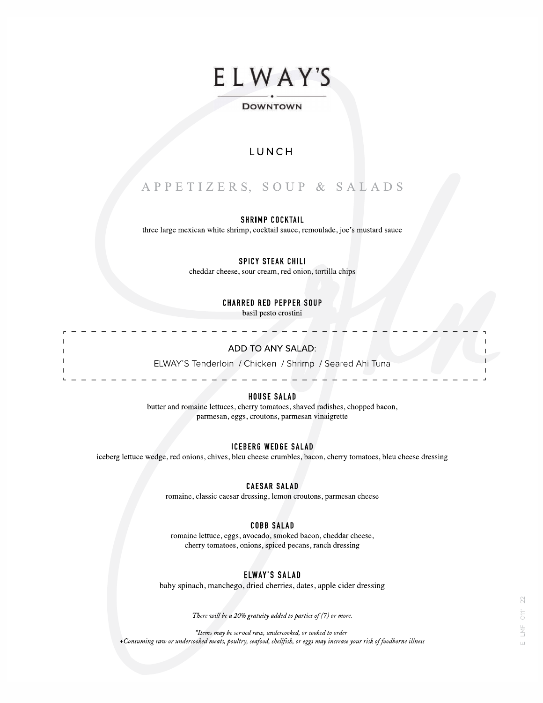# ELWAY'S

#### ----- ----- DOWNTOWN

## LUNCH

# APPETIZERS, SOUP & SALADS

#### SHRIMP COCKTAIL

three large mexican white shrimp, cocktail sauce, remoulade, joe's mustard sauce

SPICY STEAK CHILI

cheddar cheese, sour cream, red onion, tortilla chips

CHARRED RED PEPPER SOUP

basil pesto crostini

### ADD TO ANY SALAD: r - - - - - - - - - - - - - - - - - - - - - - - - - - - - - - - ,

ELWAY'S Tenderloin / Chicken / Shrimp / Seared Ahi Tuna L - - - - - - - - - - - - - - - -

#### HOUSE SALAD

butter and romaine lettuces, cherry tomatoes, shaved radishes, chopped bacon, parmesan, eggs, croutons, parmesan vinaigrette

#### ICEBERG WEDGE SALAD

iceberg lettuce wedge, red onions, chives, bleu cheese crumbles, bacon, cherry tomatoes, bleu cheese dressing

#### CAESAR SALAD

romaine, classic caesar dressing, lemon croutons, parmesan cheese

#### COBB SALAD

romaine lettuce, eggs, avocado, smoked bacon, cheddar cheese, cherry tomatoes, onions, spiced pecans, ranch dressing

#### ELWAY'S SALAD

baby spinach, manchego, dried cherries, dates, apple cider dressing

There will be a 20% gratuity added to parties of (7) or more.

\*Items may be served raw, undercooked, or cooked to order +Consuming raw or undercooked meats, poultry, seafood, shellfish, or eggs may increase your risk of foodborne illness